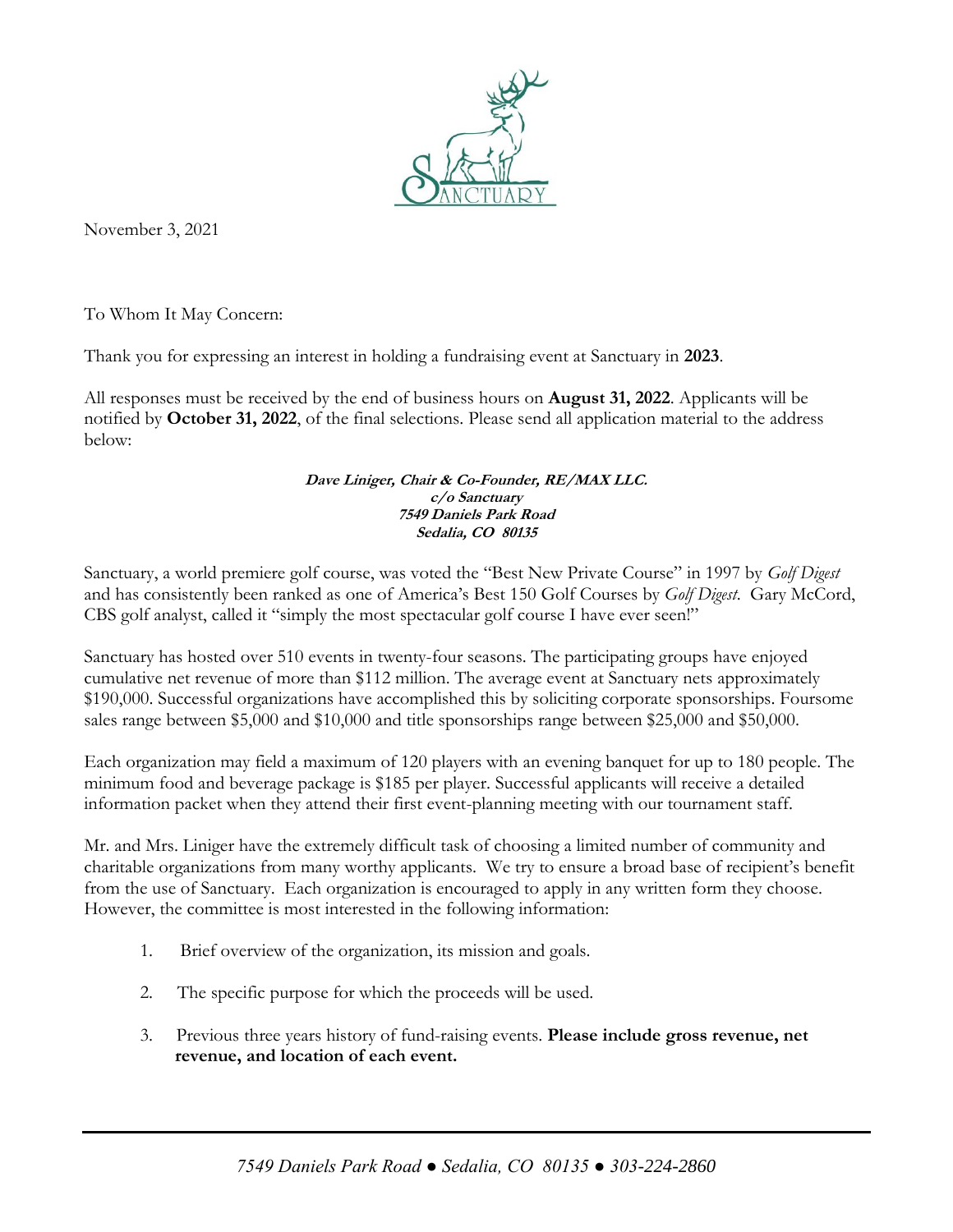

November 3, 2021

To Whom It May Concern:

Thank you for expressing an interest in holding a fundraising event at Sanctuary in **2023**.

All responses must be received by the end of business hours on **August 31, 2022**. Applicants will be notified by **October 31, 2022**, of the final selections. Please send all application material to the address below:

## **Dave Liniger, Chair & Co-Founder, RE/MAX LLC. c/o Sanctuary 7549 Daniels Park Road Sedalia, CO 80135**

Sanctuary, a world premiere golf course, was voted the "Best New Private Course" in 1997 by *Golf Digest* and has consistently been ranked as one of America's Best 150 Golf Courses by *Golf Digest*. Gary McCord, CBS golf analyst, called it "simply the most spectacular golf course I have ever seen!"

Sanctuary has hosted over 510 events in twenty-four seasons. The participating groups have enjoyed cumulative net revenue of more than \$112 million. The average event at Sanctuary nets approximately \$190,000. Successful organizations have accomplished this by soliciting corporate sponsorships. Foursome sales range between \$5,000 and \$10,000 and title sponsorships range between \$25,000 and \$50,000.

Each organization may field a maximum of 120 players with an evening banquet for up to 180 people. The minimum food and beverage package is \$185 per player. Successful applicants will receive a detailed information packet when they attend their first event-planning meeting with our tournament staff.

Mr. and Mrs. Liniger have the extremely difficult task of choosing a limited number of community and charitable organizations from many worthy applicants. We try to ensure a broad base of recipient's benefit from the use of Sanctuary. Each organization is encouraged to apply in any written form they choose. However, the committee is most interested in the following information:

- 1. Brief overview of the organization, its mission and goals.
- 2. The specific purpose for which the proceeds will be used.
- 3. Previous three years history of fund-raising events. **Please include gross revenue, net revenue, and location of each event.**